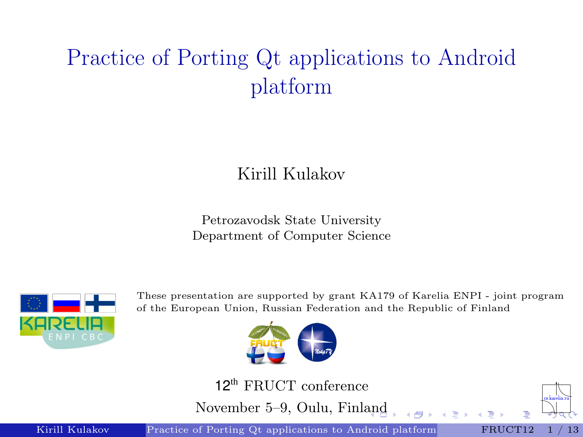# <span id="page-0-1"></span>Practice of Porting Qt applications to Android platform

#### Kirill Kulakov

Petrozavodsk State University Department of Computer Science



These presentation are supported by grant KA179 of Karelia ENPI - joint program of the European Union, Russian Federation and the Republic of Finland



12<sup>th</sup> FRUCT conference

November 5–9, Oulu, Finl[an](#page-0-0)d

Kirill Kulakov [Practice of Porting Qt applications to Android platform](#page-12-0) FRUCT12 1 / 13

<span id="page-0-0"></span>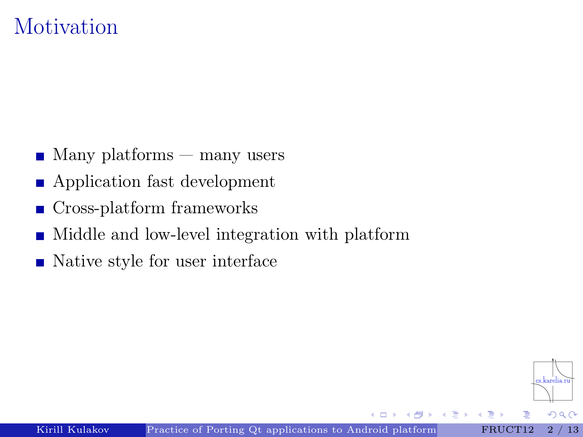### **Motivation**

- $\blacksquare$  Many platforms many users
- Application fast development
- Cross-platform frameworks  $\blacksquare$
- Middle and low-level integration with platform
- Native style for user interface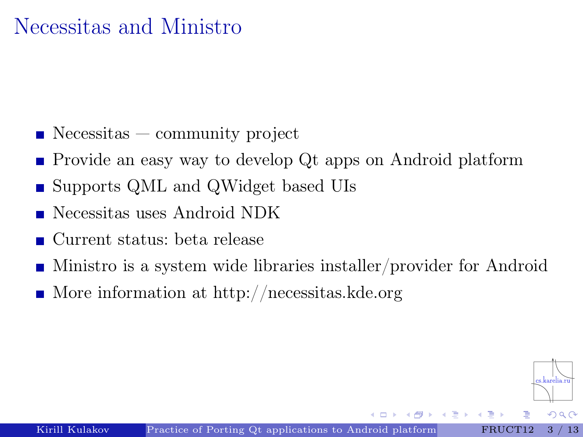### Necessitas and Ministro

- $\blacksquare$  Necessitas community project
- Provide an easy way to develop Qt apps on Android platform
- Supports QML and QWidget based UIs
- Necessitas uses Android NDK
- Current status: beta release
- Ministro is a system wide libraries installer/provider for Android
- $\blacksquare$  More information at<http://necessitas.kde.org>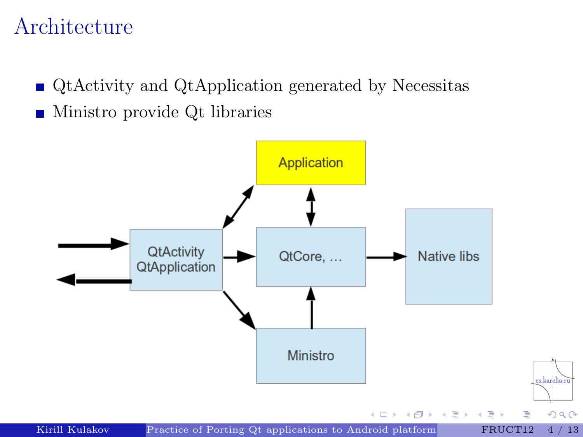### Architecture

■ QtActivity and QtApplication generated by Necessitas Ministro provide Qt libraries

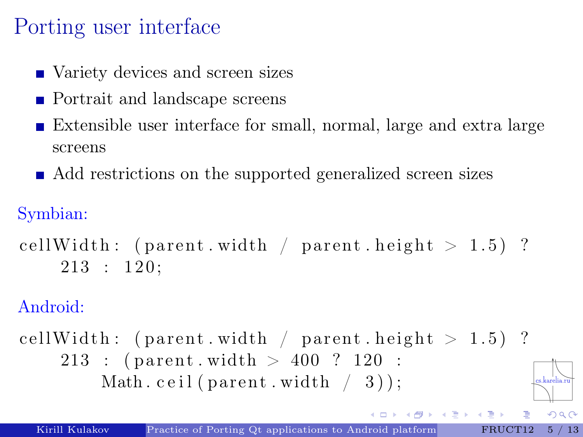# Porting user interface

- Variety devices and screen sizes
- **Portrait and landscape screens**
- Extensible user interface for small, normal, large and extra large screens
- Add restrictions on the supported generalized screen sizes

Symbian:

```
cellWidth: (parent width / parent height > 1.5)?
    213 : 120;
```
Android:

cellWidth: (parent width / parent height  $> 1.5$ ) ?  $213$  : (parent width  $> 400$  ? 120 : Math. ceil (parent. width  $(3)$ );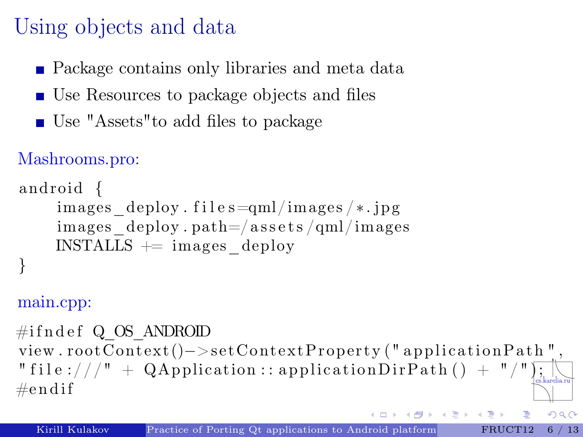# Using objects and data

- **Package contains only libraries and meta data**
- Use Resources to package objects and files
- Use "Assets" to add files to package

#### Mashrooms.pro:

```
and roid {
      images \text{deplov.} files=\text{qml}/\text{images}/* . jpg
      images \text{deploy. path} = / \text{asserts} / \text{qml} / \text{images}INSTALLS \rightleftharpoons images\ deploy
}
```
#### main.cpp:

 $\#ifndef$  Q OS ANDROID  $view$ . rootContext()−>setContextProperty("applicationPath", " file :///" + QApplication :: application DirPath () + "/" $\frac{1}{2}$  $\#$ e n dif

 $2Q$ 

퇴배 지금에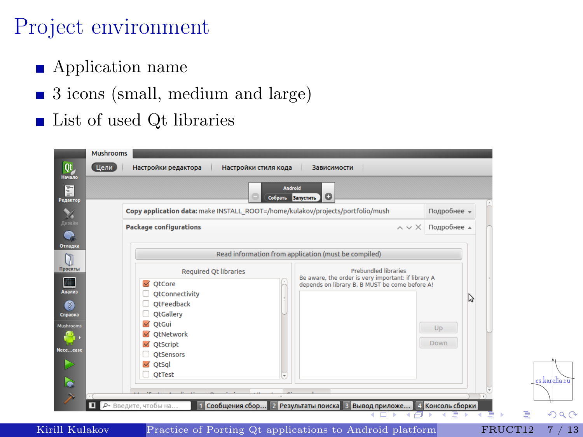## Project environment

- Application name
- 3 icons (small, medium and large)
- List of used Qt libraries  $\blacksquare$

|                                                                                  | <b>Android</b><br>Собрать Запустить                                            | o                                                                                                                                    |             |  |
|----------------------------------------------------------------------------------|--------------------------------------------------------------------------------|--------------------------------------------------------------------------------------------------------------------------------------|-------------|--|
|                                                                                  | Copy application data: make INSTALL_ROOT=/home/kulakov/projects/portfolio/mush |                                                                                                                                      | Подробнее - |  |
| <b>Package configurations</b>                                                    |                                                                                | $\wedge \vee \times$                                                                                                                 | Подробнее д |  |
|                                                                                  |                                                                                | Read information from application (must be compiled)                                                                                 |             |  |
| <b>Required Qt libraries</b><br>$\blacktriangledown$<br>QtCore<br>OtConnectivity |                                                                                | <b>Prebundled libraries</b><br>Be aware, the order is very important: if library A<br>depends on library B, B MUST be come before A! |             |  |
| OtFeedback<br><b>QtGallery</b>                                                   |                                                                                |                                                                                                                                      | Ų           |  |
| $\blacktriangledown$<br>OtGui<br>OtNetwork<br>$\blacktriangledown$               |                                                                                |                                                                                                                                      | Up          |  |
| OtScript<br><b>OtSensors</b><br>$\blacktriangledown$<br>OtSql                    |                                                                                |                                                                                                                                      | <b>Down</b> |  |
| <b>QtTest</b><br>H                                                               | $\sim$                                                                         |                                                                                                                                      |             |  |

Kirill Kulakov [Practice of Porting Qt applications to Android platform](#page-0-0) FRUCT12 [7 / 13](#page-0-1)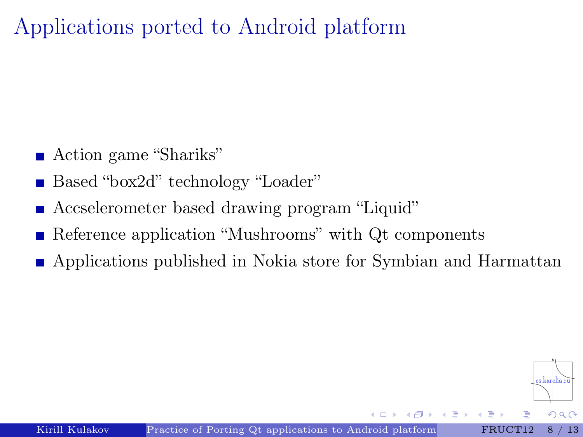Applications ported to Android platform

- Action game "Shariks"
- Based "box2d" technology "Loader"
- Accselerometer based drawing program "Liquid"
- Reference application "Mushrooms" with Qt components
- Applications published in Nokia store for Symbian and Harmattan

 $\Omega$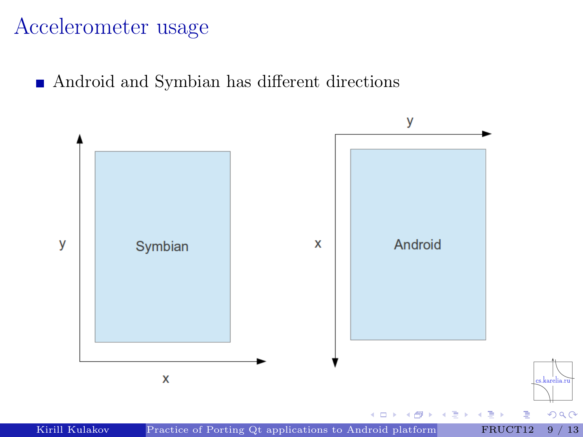### Accelerometer usage

Android and Symbian has different directions

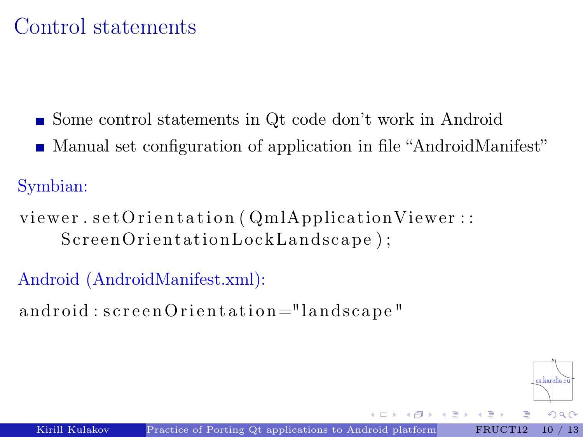### Control statements

- Some control statements in Qt code don't work in Android
- Manual set configuration of application in file "AndroidManifest"

Symbian:

viewer.set Orientation (QmlApplicationViewer: ScreenOrientationLockLandscape);

Android (AndroidManifest.xml):

android: screen Orientation="landscape"

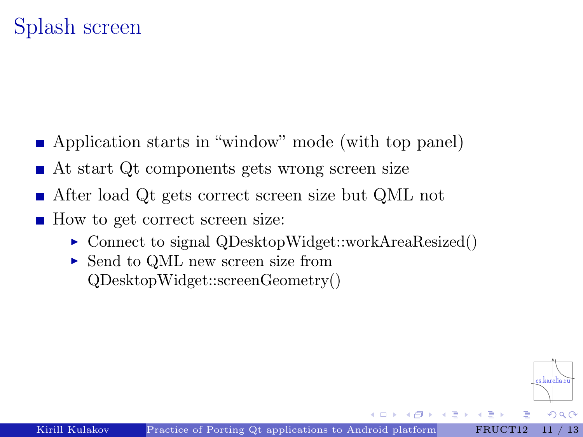- Application starts in "window" mode (with top panel)
- At start Qt components gets wrong screen size
- After load Qt gets correct screen size but QML not
- How to get correct screen size:
	- $\triangleright$  Connect to signal QDesktopWidget::workAreaResized()
	- ► Send to QML new screen size from QDesktopWidget::screenGeometry()

 $QQ$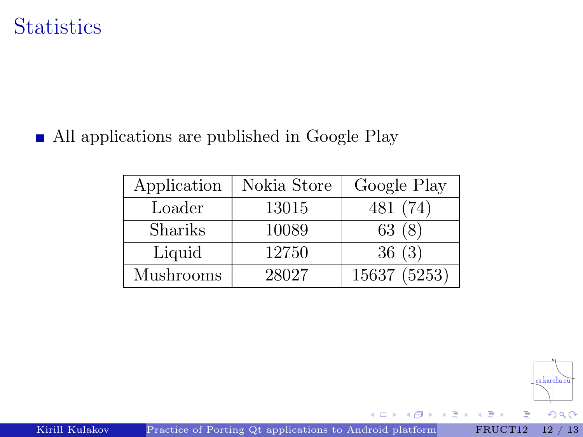### **Statistics**

■ All applications are published in Google Play

| Application | Nokia Store | Google Play  |
|-------------|-------------|--------------|
| Loader      | 13015       | 481 (74)     |
| Shariks     | 10089       | 63(8)        |
| Liquid      | 12750       | 36(3)        |
| Mushrooms   | 28027       | 15637 (5253) |

 $\leftarrow$ 

**B** 

 $299$ 

Kirill Kulakov [Practice of Porting Qt applications to Android platform](#page-0-0) FRUCT12 [12 / 13](#page-0-1)

E

∍ **B**